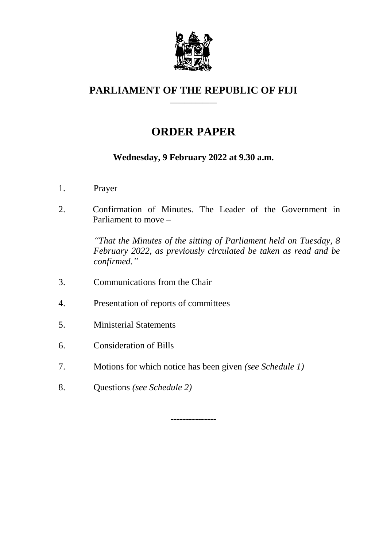

#### **PARLIAMENT OF THE REPUBLIC OF FIJI \_\_\_\_\_\_\_\_\_\_\_\_\_**

# **ORDER PAPER**

### **Wednesday, 9 February 2022 at 9.30 a.m.**

- 1. Prayer
- 2. Confirmation of Minutes. The Leader of the Government in Parliament to move –

*"That the Minutes of the sitting of Parliament held on Tuesday, 8 February 2022, as previously circulated be taken as read and be confirmed."*

- 3. Communications from the Chair
- 4. Presentation of reports of committees
- 5. Ministerial Statements
- 6. Consideration of Bills
- 7. Motions for which notice has been given *(see Schedule 1)*
- 8. Questions *(see Schedule 2)*

---------------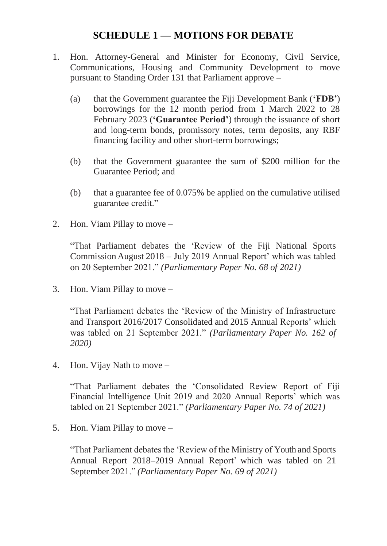# **SCHEDULE 1 — MOTIONS FOR DEBATE**

- 1. Hon. Attorney-General and Minister for Economy, Civil Service, Communications, Housing and Community Development to move pursuant to Standing Order 131 that Parliament approve –
	- (a) that the Government guarantee the Fiji Development Bank (**'FDB'**) borrowings for the 12 month period from 1 March 2022 to 28 February 2023 (**'Guarantee Period'**) through the issuance of short and long-term bonds, promissory notes, term deposits, any RBF financing facility and other short-term borrowings;
	- (b) that the Government guarantee the sum of \$200 million for the Guarantee Period; and
	- (b) that a guarantee fee of 0.075% be applied on the cumulative utilised guarantee credit."
- 2. Hon. Viam Pillay to move –

"That Parliament debates the 'Review of the Fiji National Sports Commission August 2018 – July 2019 Annual Report' which was tabled on 20 September 2021." *(Parliamentary Paper No. 68 of 2021)*

3. Hon. Viam Pillay to move –

"That Parliament debates the 'Review of the Ministry of Infrastructure and Transport 2016/2017 Consolidated and 2015 Annual Reports' which was tabled on 21 September 2021." *(Parliamentary Paper No. 162 of 2020)*

4. Hon. Vijay Nath to move –

"That Parliament debates the 'Consolidated Review Report of Fiji Financial Intelligence Unit 2019 and 2020 Annual Reports' which was tabled on 21 September 2021." *(Parliamentary Paper No. 74 of 2021)*

5. Hon. Viam Pillay to move –

"That Parliament debates the 'Review of the Ministry of Youth and Sports Annual Report 2018–2019 Annual Report' which was tabled on 21 September 2021." *(Parliamentary Paper No. 69 of 2021)*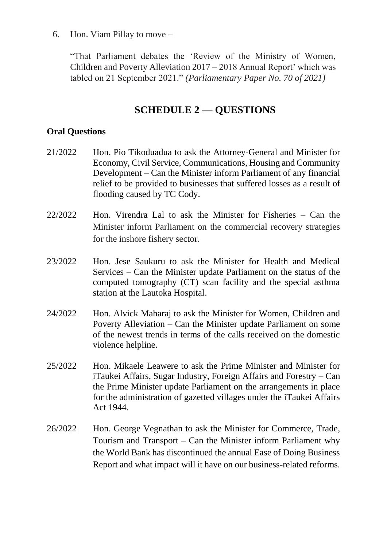6. Hon. Viam Pillay to move –

"That Parliament debates the 'Review of the Ministry of Women, Children and Poverty Alleviation 2017 – 2018 Annual Report' which was tabled on 21 September 2021." *(Parliamentary Paper No. 70 of 2021)*

## **SCHEDULE 2 — QUESTIONS**

#### **Oral Questions**

- 21/2022 Hon. Pio Tikoduadua to ask the Attorney-General and Minister for Economy, Civil Service, Communications, Housing and Community Development – Can the Minister inform Parliament of any financial relief to be provided to businesses that suffered losses as a result of flooding caused by TC Cody.
- 22/2022 Hon. Virendra Lal to ask the Minister for Fisheries Can the Minister inform Parliament on the commercial recovery strategies for the inshore fishery sector.
- 23/2022 Hon. Jese Saukuru to ask the Minister for Health and Medical Services – Can the Minister update Parliament on the status of the computed tomography (CT) scan facility and the special asthma station at the Lautoka Hospital.
- 24/2022 Hon. Alvick Maharaj to ask the Minister for Women, Children and Poverty Alleviation – Can the Minister update Parliament on some of the newest trends in terms of the calls received on the domestic violence helpline.
- 25/2022 Hon. Mikaele Leawere to ask the Prime Minister and Minister for iTaukei Affairs, Sugar Industry, Foreign Affairs and Forestry – Can the Prime Minister update Parliament on the arrangements in place for the administration of gazetted villages under the iTaukei Affairs Act 1944.
- 26/2022 Hon. George Vegnathan to ask the Minister for Commerce, Trade, Tourism and Transport – Can the Minister inform Parliament why the World Bank has discontinued the annual Ease of Doing Business Report and what impact will it have on our business-related reforms.